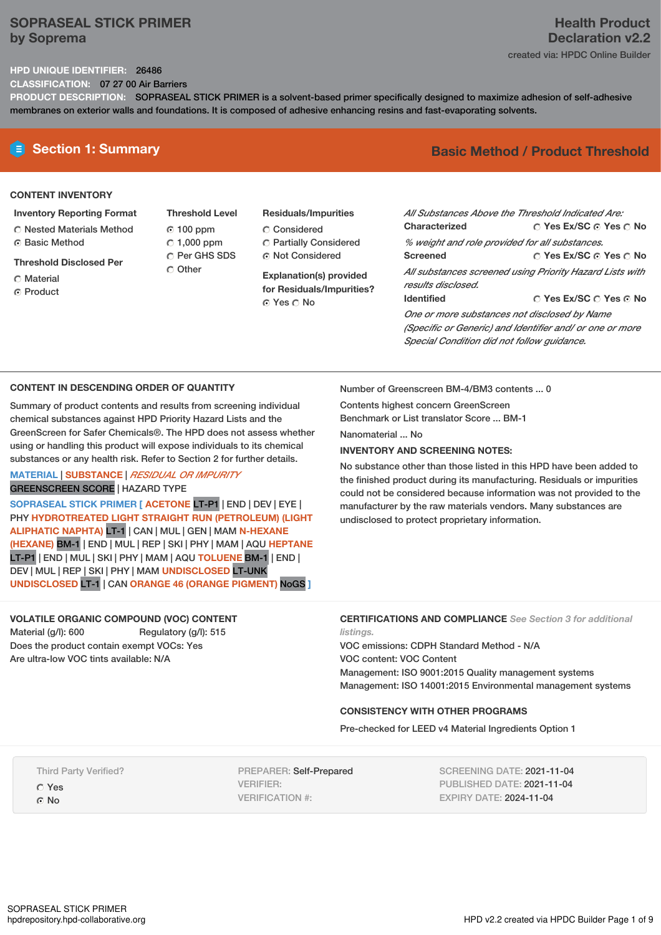## **SOPRASEAL STICK PRIMER by Soprema**

### **HPD UNIQUE IDENTIFIER:** 26486

**CLASSIFICATION:** 07 27 00 Air Barriers

**PRODUCT DESCRIPTION:** SOPRASEAL STICK PRIMER is a solvent-based primer specifically designed to maximize adhesion of self-adhesive membranes on exterior walls and foundations. It is composed of adhesive enhancing resins and fast-evaporating solvents.

#### **CONTENT INVENTORY**

- **Inventory Reporting Format**
- Nested Materials Method **G** Basic Method
- **Threshold Disclosed Per**
- Material
- ⊙ Product
- **Threshold Level** 100 ppm  $\degree$  1,000 ppm C Per GHS SDS Other
- **Residuals/Impurities** Considered Partially Considered Not Considered

**Explanation(s) provided for Residuals/Impurities?** Yes No

# **E** Section 1: Summary **Basic** Method / Product Threshold

| All Substances Above the Threshold Indicated Are:        |                                                   |  |  |
|----------------------------------------------------------|---------------------------------------------------|--|--|
| Characterized                                            | $\bigcirc$ Yes Ex/SC $\bigcirc$ Yes $\bigcirc$ No |  |  |
| % weight and role provided for all substances.           |                                                   |  |  |
| <b>Screened</b>                                          | ∩ Yes Ex/SC ∩ Yes ∩ No                            |  |  |
| All substances screened using Priority Hazard Lists with |                                                   |  |  |
| results disclosed.                                       |                                                   |  |  |
| <b>Identified</b>                                        | ○ Yes Ex/SC ○ Yes ⊙ No                            |  |  |
| One or more substances not disclosed by Name             |                                                   |  |  |

*(Specific or Generic) and Identifier and/ or one or more Special Condition did not follow guidance.*

### **CONTENT IN DESCENDING ORDER OF QUANTITY**

Summary of product contents and results from screening individual chemical substances against HPD Priority Hazard Lists and the GreenScreen for Safer Chemicals®. The HPD does not assess whether using or handling this product will expose individuals to its chemical substances or any health risk. Refer to Section 2 for further details.

## **MATERIAL** | **SUBSTANCE** | *RESIDUAL OR IMPURITY* GREENSCREEN SCORE | HAZARD TYPE

**SOPRASEAL STICK PRIMER [ ACETONE** LT-P1 | END | DEV | EYE | PHY **HYDROTREATED LIGHT STRAIGHT RUN (PETROLEUM) (LIGHT ALIPHATIC NAPHTA)** LT-1 | CAN | MUL | GEN | MAM **N-HEXANE (HEXANE)** BM-1 | END | MUL | REP | SKI | PHY | MAM |AQU **HEPTANE** LT-P1 | END | MUL | SKI | PHY | MAM | AQU **TOLUENE** BM-1 | END | DEV | MUL | REP | SKI | PHY | MAM **UNDISCLOSED** LT-UNK **UNDISCLOSED** LT-1 | CAN **ORANGE 46 (ORANGE PIGMENT)** NoGS **]**

**VOLATILE ORGANIC COMPOUND (VOC) CONTENT**

Material (g/l): 600 Regulatory (g/l): 515 Does the product contain exempt VOCs: Yes Are ultra-low VOC tints available: N/A

Number of Greenscreen BM-4/BM3 contents ... 0

Contents highest concern GreenScreen Benchmark or List translator Score ... BM-1

Nanomaterial No.

## **INVENTORY AND SCREENING NOTES:**

No substance other than those listed in this HPD have been added to the finished product during its manufacturing. Residuals or impurities could not be considered because information was not provided to the manufacturer by the raw materials vendors. Many substances are undisclosed to protect proprietary information.

## **CERTIFICATIONS AND COMPLIANCE** *See Section 3 for additional listings.*

VOC emissions: CDPH Standard Method - N/A VOC content: VOC Content Management: ISO 9001:2015 Quality management systems Management: ISO 14001:2015 Environmental management systems

## **CONSISTENCY WITH OTHER PROGRAMS**

Pre-checked for LEED v4 Material Ingredients Option 1

Third Party Verified?

- Yes
- © No

PREPARER: Self-Prepared VERIFIER: VERIFICATION #:

SCREENING DATE: 2021-11-04 PUBLISHED DATE: 2021-11-04 EXPIRY DATE: 2024-11-04

# **Health Product Declaration v2.2**

created via: HPDC Online Builder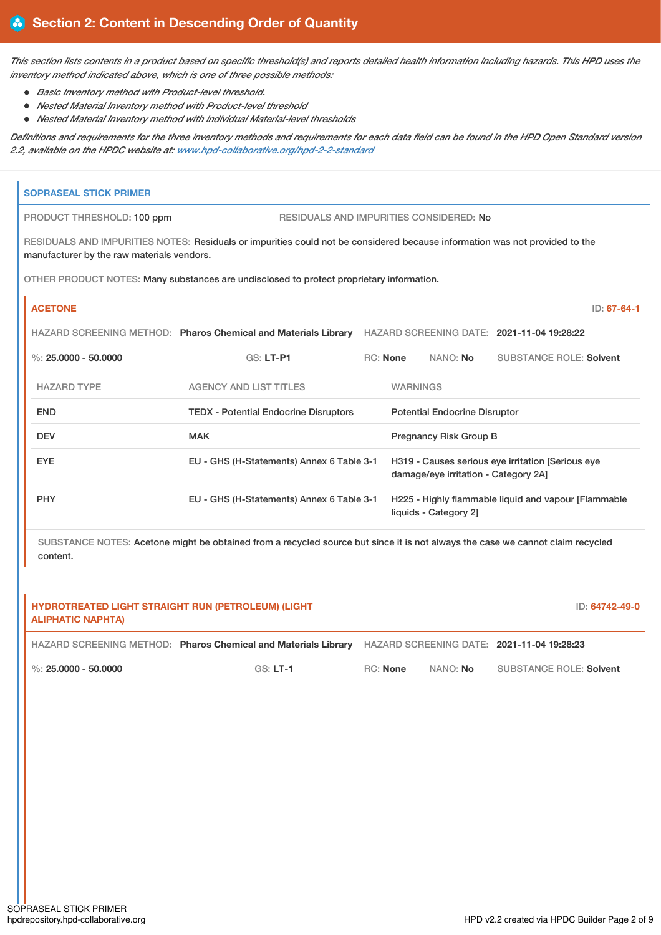This section lists contents in a product based on specific threshold(s) and reports detailed health information including hazards. This HPD uses the *inventory method indicated above, which is one of three possible methods:*

- *Basic Inventory method with Product-level threshold.*
- *Nested Material Inventory method with Product-level threshold*
- *Nested Material Inventory method with individual Material-level thresholds*

Definitions and requirements for the three inventory methods and requirements for each data field can be found in the HPD Open Standard version *2.2, available on the HPDC website at: [www.hpd-collaborative.org/hpd-2-2-standard](https://www.hpd-collaborative.org/hpd-2-2-standard)*

# **SOPRASEAL STICK PRIMER** PRODUCT THRESHOLD: 100 ppm RESIDUALS AND IMPURITIES CONSIDERED: No

RESIDUALS AND IMPURITIES NOTES: Residuals or impurities could not be considered because information was not provided to the manufacturer by the raw materials vendors.

OTHER PRODUCT NOTES: Many substances are undisclosed to protect proprietary information.

| <b>ACETONE</b>         |                                                                |            |                 |                                      |                                                      | $ID: 67-64-1$ |
|------------------------|----------------------------------------------------------------|------------|-----------------|--------------------------------------|------------------------------------------------------|---------------|
|                        | HAZARD SCREENING METHOD: Pharos Chemical and Materials Library |            |                 |                                      | HAZARD SCREENING DATE: 2021-11-04 19:28:22           |               |
| %: $25.0000 - 50.0000$ | $GS: LT-PI$                                                    | $RC:$ None |                 | NANO: <b>No</b>                      | SUBSTANCE ROLE: Solvent                              |               |
| <b>HAZARD TYPE</b>     | <b>AGENCY AND LIST TITLES</b>                                  |            | <b>WARNINGS</b> |                                      |                                                      |               |
| <b>END</b>             | <b>TEDX - Potential Endocrine Disruptors</b>                   |            |                 | <b>Potential Endocrine Disruptor</b> |                                                      |               |
| <b>DEV</b>             | <b>MAK</b>                                                     |            |                 | Pregnancy Risk Group B               |                                                      |               |
| <b>EYE</b>             | EU - GHS (H-Statements) Annex 6 Table 3-1                      |            |                 | damage/eye irritation - Category 2A] | H319 - Causes serious eye irritation [Serious eye    |               |
| <b>PHY</b>             | EU - GHS (H-Statements) Annex 6 Table 3-1                      |            |                 | liquids - Category 2]                | H225 - Highly flammable liquid and vapour [Flammable |               |

SUBSTANCE NOTES: Acetone might be obtained from a recycled source but since it is not always the case we cannot claim recycled content.

| HYDROTREATED LIGHT STRAIGHT RUN (PETROLEUM) (LIGHT<br><b>ALIPHATIC NAPHTA)</b> |            |                 |          | ID: 64742-49-0                             |
|--------------------------------------------------------------------------------|------------|-----------------|----------|--------------------------------------------|
| HAZARD SCREENING METHOD: Pharos Chemical and Materials Library                 |            |                 |          | HAZARD SCREENING DATE: 2021-11-04 19:28:23 |
| $\frac{1}{2}$ %: 25,0000 - 50,0000                                             | $GS: LT-1$ | <b>RC:</b> None | NANO: No | <b>SUBSTANCE ROLE: Solvent</b>             |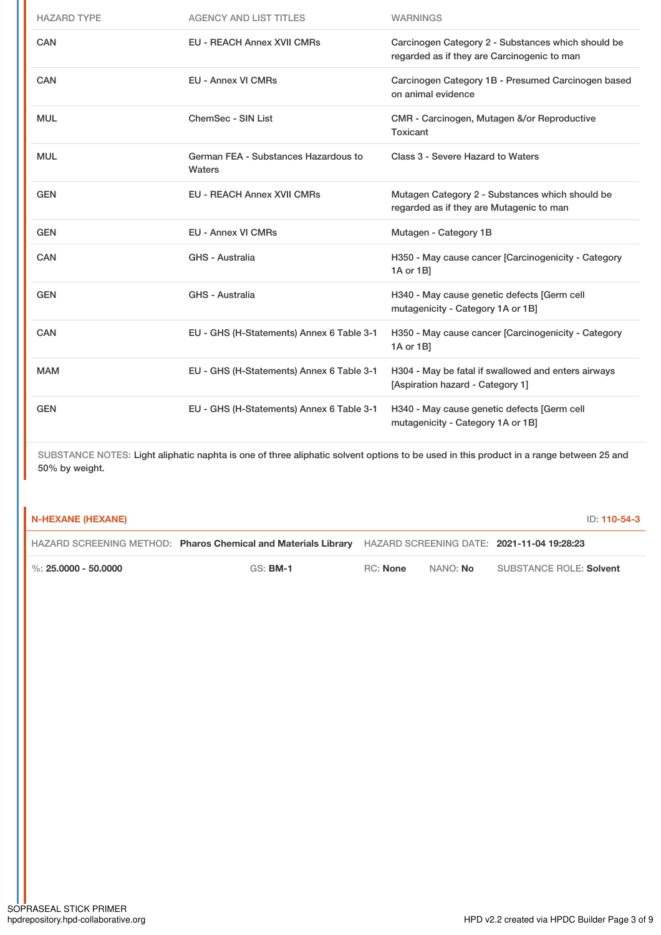| <b>HAZARD TYPE</b> | <b>AGENCY AND LIST TITLES</b>                  | <b>WARNINGS</b>                                                                                   |
|--------------------|------------------------------------------------|---------------------------------------------------------------------------------------------------|
| <b>CAN</b>         | <b>EU - REACH Annex XVII CMRs</b>              | Carcinogen Category 2 - Substances which should be<br>regarded as if they are Carcinogenic to man |
| CAN                | <b>EU - Annex VI CMRs</b>                      | Carcinogen Category 1B - Presumed Carcinogen based<br>on animal evidence                          |
| <b>MUL</b>         | ChemSec - SIN List                             | CMR - Carcinogen, Mutagen &/or Reproductive<br>Toxicant                                           |
| <b>MUL</b>         | German FEA - Substances Hazardous to<br>Waters | Class 3 - Severe Hazard to Waters                                                                 |
| <b>GEN</b>         | <b>EU - REACH Annex XVII CMRs</b>              | Mutagen Category 2 - Substances which should be<br>regarded as if they are Mutagenic to man       |
|                    |                                                |                                                                                                   |
| <b>GEN</b>         | <b>EU - Annex VI CMRs</b>                      | Mutagen - Category 1B                                                                             |
| <b>CAN</b>         | GHS - Australia                                | H350 - May cause cancer [Carcinogenicity - Category<br>1A or 1B]                                  |
| <b>GEN</b>         | GHS - Australia                                | H340 - May cause genetic defects [Germ cell<br>mutagenicity - Category 1A or 1B]                  |
| <b>CAN</b>         | EU - GHS (H-Statements) Annex 6 Table 3-1      | H350 - May cause cancer [Carcinogenicity - Category<br>1A or 1B]                                  |
| <b>MAM</b>         | EU - GHS (H-Statements) Annex 6 Table 3-1      | H304 - May be fatal if swallowed and enters airways<br>[Aspiration hazard - Category 1]           |

SUBSTANCE NOTES: Light aliphatic naphta is one of three aliphatic solvent options to be used in this product in a range between 25 and 50% by weight.

| N-HEXANE (HEXANE)        |                                                                |          |          |                                            |
|--------------------------|----------------------------------------------------------------|----------|----------|--------------------------------------------|
|                          | HAZARD SCREENING METHOD: Pharos Chemical and Materials Library |          |          | HAZARD SCREENING DATE: 2021-11-04 19:28:23 |
| $\%$ : 25.0000 - 50.0000 | $GS:$ BM-1                                                     | RC: None | NANO: No | SUBSTANCE ROLE: Solvent                    |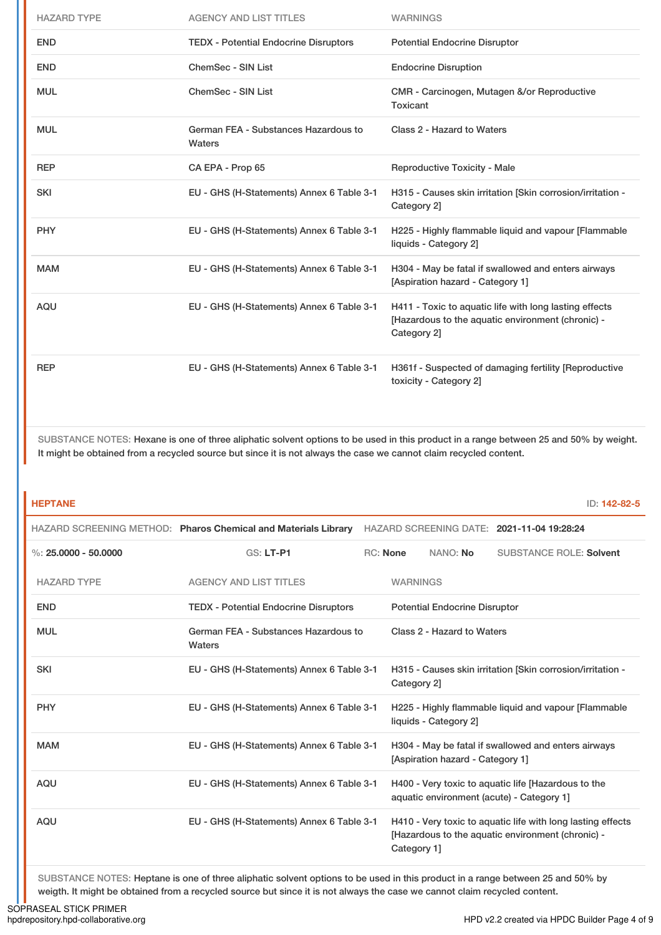| <b>HAZARD TYPE</b> | <b>AGENCY AND LIST TITLES</b>                  | <b>WARNINGS</b>                                                                                                            |
|--------------------|------------------------------------------------|----------------------------------------------------------------------------------------------------------------------------|
| <b>END</b>         | <b>TEDX - Potential Endocrine Disruptors</b>   | <b>Potential Endocrine Disruptor</b>                                                                                       |
| <b>END</b>         | <b>ChemSec - SIN List</b>                      | <b>Endocrine Disruption</b>                                                                                                |
| <b>MUL</b>         | ChemSec - SIN List                             | CMR - Carcinogen, Mutagen &/or Reproductive<br>Toxicant                                                                    |
| <b>MUL</b>         | German FEA - Substances Hazardous to<br>Waters | Class 2 - Hazard to Waters                                                                                                 |
| <b>REP</b>         | CA EPA - Prop 65                               | <b>Reproductive Toxicity - Male</b>                                                                                        |
| <b>SKI</b>         | EU - GHS (H-Statements) Annex 6 Table 3-1      | H315 - Causes skin irritation [Skin corrosion/irritation -<br>Category 2]                                                  |
| <b>PHY</b>         | EU - GHS (H-Statements) Annex 6 Table 3-1      | H225 - Highly flammable liquid and vapour [Flammable<br>liquids - Category 2]                                              |
| <b>MAM</b>         | EU - GHS (H-Statements) Annex 6 Table 3-1      | H304 - May be fatal if swallowed and enters airways<br>[Aspiration hazard - Category 1]                                    |
| <b>AQU</b>         | EU - GHS (H-Statements) Annex 6 Table 3-1      | H411 - Toxic to aquatic life with long lasting effects<br>[Hazardous to the aquatic environment (chronic) -<br>Category 2] |
| <b>REP</b>         | EU - GHS (H-Statements) Annex 6 Table 3-1      | H361f - Suspected of damaging fertility [Reproductive<br>toxicity - Category 2]                                            |

SUBSTANCE NOTES: Hexane is one of three aliphatic solvent options to be used in this product in a range between 25 and 50% by weight. It might be obtained from a recycled source but since it is not always the case we cannot claim recycled content.

| <b>HEPTANE</b>         |                                                                |                 |                                      |                                                                                                                  | ID: 142-82-5 |
|------------------------|----------------------------------------------------------------|-----------------|--------------------------------------|------------------------------------------------------------------------------------------------------------------|--------------|
|                        | HAZARD SCREENING METHOD: Pharos Chemical and Materials Library |                 |                                      | HAZARD SCREENING DATE: 2021-11-04 19:28:24                                                                       |              |
| %: $25.0000 - 50.0000$ | $GS: LT-PI$                                                    | <b>RC: None</b> | NANO: No                             | <b>SUBSTANCE ROLE: Solvent</b>                                                                                   |              |
| <b>HAZARD TYPE</b>     | <b>AGENCY AND LIST TITLES</b>                                  | <b>WARNINGS</b> |                                      |                                                                                                                  |              |
| <b>END</b>             | <b>TEDX</b> - Potential Endocrine Disruptors                   |                 | <b>Potential Endocrine Disruptor</b> |                                                                                                                  |              |
| <b>MUL</b>             | German FEA - Substances Hazardous to<br>Waters                 |                 | Class 2 - Hazard to Waters           |                                                                                                                  |              |
| <b>SKI</b>             | EU - GHS (H-Statements) Annex 6 Table 3-1                      | Category 2]     |                                      | H315 - Causes skin irritation [Skin corrosion/irritation -                                                       |              |
| <b>PHY</b>             | EU - GHS (H-Statements) Annex 6 Table 3-1                      |                 | liquids - Category 2]                | H225 - Highly flammable liquid and vapour [Flammable                                                             |              |
| <b>MAM</b>             | EU - GHS (H-Statements) Annex 6 Table 3-1                      |                 | [Aspiration hazard - Category 1]     | H304 - May be fatal if swallowed and enters airways                                                              |              |
| <b>AQU</b>             | EU - GHS (H-Statements) Annex 6 Table 3-1                      |                 |                                      | H400 - Very toxic to aquatic life [Hazardous to the<br>aquatic environment (acute) - Category 1]                 |              |
| <b>AQU</b>             | EU - GHS (H-Statements) Annex 6 Table 3-1                      | Category 1]     |                                      | H410 - Very toxic to aquatic life with long lasting effects<br>[Hazardous to the aquatic environment (chronic) - |              |

SUBSTANCE NOTES: Heptane is one of three aliphatic solvent options to be used in this product in a range between 25 and 50% by weigth. It might be obtained from a recycled source but since it is not always the case we cannot claim recycled content.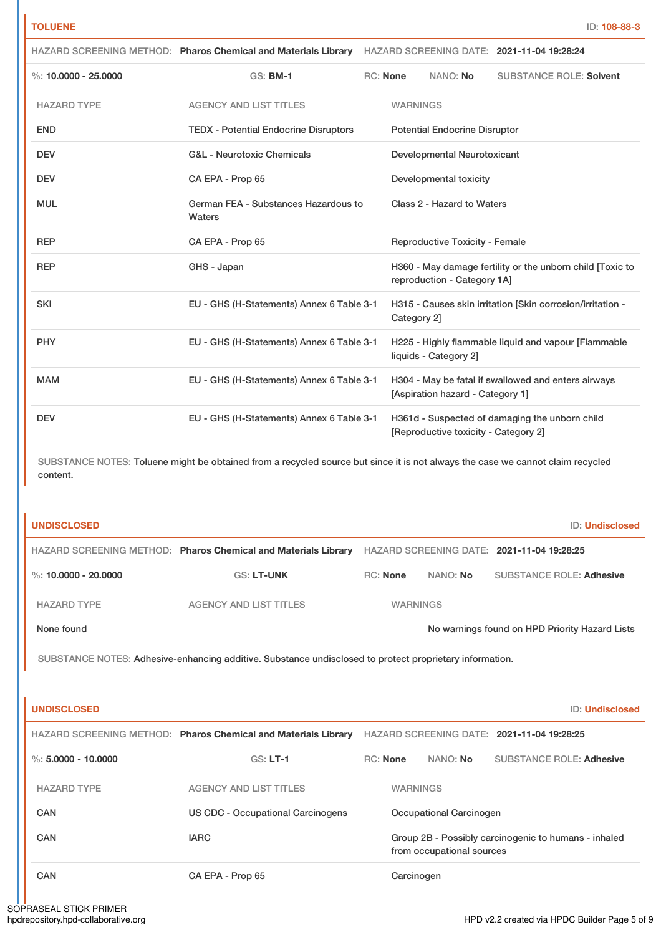| <b>TOLUENE</b>         |                                                                                                                                |          |                 |                                       | ID: 108-88-3                                               |
|------------------------|--------------------------------------------------------------------------------------------------------------------------------|----------|-----------------|---------------------------------------|------------------------------------------------------------|
|                        | HAZARD SCREENING METHOD: Pharos Chemical and Materials Library                                                                 |          |                 |                                       | HAZARD SCREENING DATE: 2021-11-04 19:28:24                 |
| %: $10.0000 - 25.0000$ | GS: <b>BM-1</b>                                                                                                                | RC: None |                 | NANO: No                              | <b>SUBSTANCE ROLE: Solvent</b>                             |
| <b>HAZARD TYPE</b>     | <b>AGENCY AND LIST TITLES</b>                                                                                                  |          | <b>WARNINGS</b> |                                       |                                                            |
| <b>END</b>             | <b>TEDX - Potential Endocrine Disruptors</b>                                                                                   |          |                 | <b>Potential Endocrine Disruptor</b>  |                                                            |
| <b>DEV</b>             | <b>G&amp;L - Neurotoxic Chemicals</b>                                                                                          |          |                 | Developmental Neurotoxicant           |                                                            |
| <b>DEV</b>             | CA EPA - Prop 65                                                                                                               |          |                 | Developmental toxicity                |                                                            |
| <b>MUL</b>             | German FEA - Substances Hazardous to<br>Waters                                                                                 |          |                 | Class 2 - Hazard to Waters            |                                                            |
| <b>REP</b>             | CA EPA - Prop 65                                                                                                               |          |                 | <b>Reproductive Toxicity - Female</b> |                                                            |
| <b>REP</b>             | GHS - Japan                                                                                                                    |          |                 | reproduction - Category 1A]           | H360 - May damage fertility or the unborn child [Toxic to  |
| <b>SKI</b>             | EU - GHS (H-Statements) Annex 6 Table 3-1                                                                                      |          | Category 2]     |                                       | H315 - Causes skin irritation [Skin corrosion/irritation - |
| <b>PHY</b>             | EU - GHS (H-Statements) Annex 6 Table 3-1                                                                                      |          |                 | liquids - Category 2]                 | H225 - Highly flammable liquid and vapour [Flammable       |
| <b>MAM</b>             | EU - GHS (H-Statements) Annex 6 Table 3-1                                                                                      |          |                 | [Aspiration hazard - Category 1]      | H304 - May be fatal if swallowed and enters airways        |
| <b>DEV</b>             | EU - GHS (H-Statements) Annex 6 Table 3-1                                                                                      |          |                 | [Reproductive toxicity - Category 2]  | H361d - Suspected of damaging the unborn child             |
| content.               | SUBSTANCE NOTES: Toluene might be obtained from a recycled source but since it is not always the case we cannot claim recycled |          |                 |                                       |                                                            |
| <b>UNDISCLOSED</b>     |                                                                                                                                |          |                 |                                       | ID: Undisclosed                                            |
|                        | HAZARD SCREENING METHOD: Pharos Chemical and Materials Library HAZARD SCREENING DATE: 2021-11-04 19:28:25                      |          |                 |                                       |                                                            |
| %: $10.0000 - 20.0000$ | <b>GS: LT-UNK</b>                                                                                                              | RC: None |                 | NANO: No                              | <b>SUBSTANCE ROLE: Adhesive</b>                            |
| <b>HAZARD TYPE</b>     | <b>AGENCY AND LIST TITLES</b>                                                                                                  |          | <b>WARNINGS</b> |                                       |                                                            |
| None found             |                                                                                                                                |          |                 |                                       | No warnings found on HPD Priority Hazard Lists             |
|                        | SUBSTANCE NOTES: Adhesive-enhancing additive. Substance undisclosed to protect proprietary information.                        |          |                 |                                       |                                                            |
|                        |                                                                                                                                |          |                 |                                       |                                                            |
| <b>UNDISCLOSED</b>     |                                                                                                                                |          |                 |                                       | <b>ID: Undisclosed</b>                                     |
|                        | HAZARD SCREENING METHOD: Pharos Chemical and Materials Library HAZARD SCREENING DATE: 2021-11-04 19:28:25                      |          |                 |                                       |                                                            |
| %: $5.0000 - 10.0000$  | <b>GS: LT-1</b>                                                                                                                | RC: None |                 | NANO: No                              | <b>SUBSTANCE ROLE: Adhesive</b>                            |
| <b>HAZARD TYPE</b>     | <b>AGENCY AND LIST TITLES</b>                                                                                                  |          | <b>WARNINGS</b> |                                       |                                                            |
| <b>CAN</b>             | <b>US CDC - Occupational Carcinogens</b>                                                                                       |          |                 | <b>Occupational Carcinogen</b>        |                                                            |
| CAN                    | <b>IARC</b>                                                                                                                    |          |                 |                                       | Group 2B - Possibly carcinogenic to humans - inhaled       |

CAN CA EPA - Prop 65 Carcinogen

from occupational sources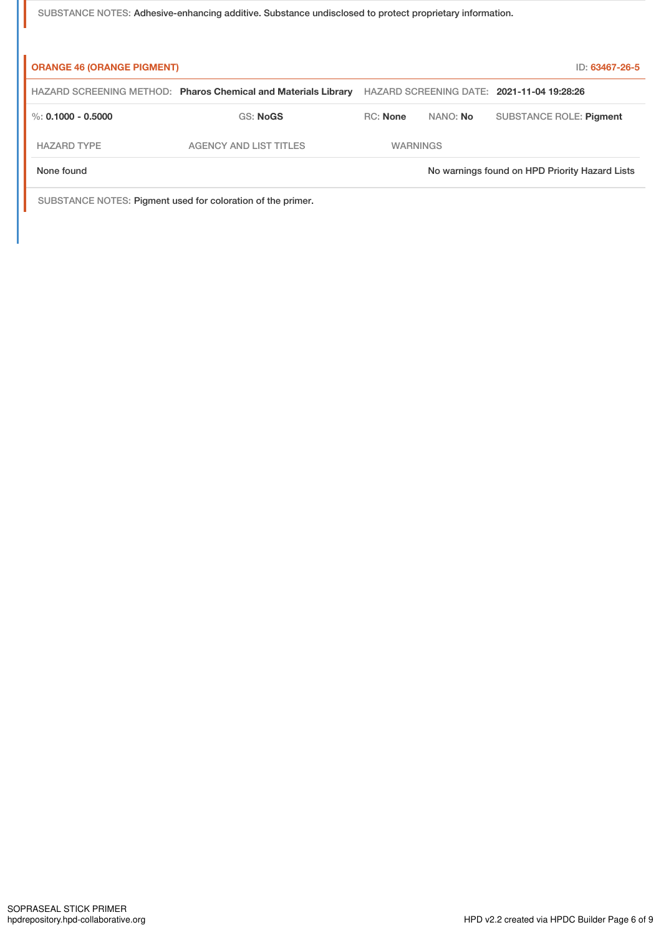SUBSTANCE NOTES: Adhesive-enhancing additive. Substance undisclosed to protect proprietary information.

| <b>ORANGE 46 (ORANGE PIGMENT)</b> |                                                                |                 |          | ID: 63467-26-5                                 |
|-----------------------------------|----------------------------------------------------------------|-----------------|----------|------------------------------------------------|
|                                   | HAZARD SCREENING METHOD: Pharos Chemical and Materials Library |                 |          | HAZARD SCREENING DATE: 2021-11-04 19:28:26     |
| %: $0.1000 - 0.5000$              | <b>GS: NoGS</b>                                                | <b>RC:</b> None | NANO: No | SUBSTANCE ROLE: Pigment                        |
| <b>HAZARD TYPE</b>                | AGENCY AND LIST TITLES                                         | <b>WARNINGS</b> |          |                                                |
| None found                        |                                                                |                 |          | No warnings found on HPD Priority Hazard Lists |
|                                   |                                                                |                 |          |                                                |

SUBSTANCE NOTES: Pigment used for coloration of the primer.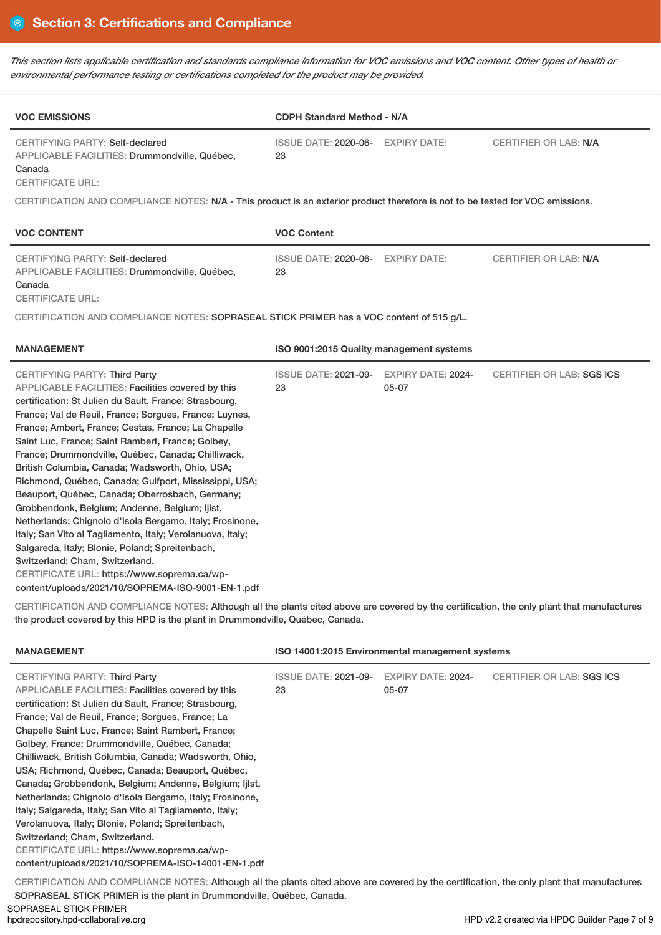This section lists applicable certification and standards compliance information for VOC emissions and VOC content. Other types of health or *environmental performance testing or certifications completed for the product may be provided.*

| <b>VOC EMISSIONS</b>                                                                                                                                                                                                                                                                                                                                                                                                                                                                                                                                                                                                                                                                                                                                                                                                                                                                                          | <b>CDPH Standard Method - N/A</b>       |                                        |                              |
|---------------------------------------------------------------------------------------------------------------------------------------------------------------------------------------------------------------------------------------------------------------------------------------------------------------------------------------------------------------------------------------------------------------------------------------------------------------------------------------------------------------------------------------------------------------------------------------------------------------------------------------------------------------------------------------------------------------------------------------------------------------------------------------------------------------------------------------------------------------------------------------------------------------|-----------------------------------------|----------------------------------------|------------------------------|
| <b>CERTIFYING PARTY: Self-declared</b><br>APPLICABLE FACILITIES: Drummondville, Québec,<br>Canada<br><b>CERTIFICATE URL:</b>                                                                                                                                                                                                                                                                                                                                                                                                                                                                                                                                                                                                                                                                                                                                                                                  | <b>ISSUE DATE: 2020-06-</b><br>23       | <b>EXPIRY DATE:</b>                    | <b>CERTIFIER OR LAB: N/A</b> |
| CERTIFICATION AND COMPLIANCE NOTES: N/A - This product is an exterior product therefore is not to be tested for VOC emissions.                                                                                                                                                                                                                                                                                                                                                                                                                                                                                                                                                                                                                                                                                                                                                                                |                                         |                                        |                              |
| <b>VOC CONTENT</b>                                                                                                                                                                                                                                                                                                                                                                                                                                                                                                                                                                                                                                                                                                                                                                                                                                                                                            | <b>VOC Content</b>                      |                                        |                              |
| <b>CERTIFYING PARTY: Self-declared</b><br>APPLICABLE FACILITIES: Drummondville, Québec,<br>Canada<br><b>CERTIFICATE URL:</b>                                                                                                                                                                                                                                                                                                                                                                                                                                                                                                                                                                                                                                                                                                                                                                                  | ISSUE DATE: 2020-06- EXPIRY DATE:<br>23 |                                        | <b>CERTIFIER OR LAB: N/A</b> |
| CERTIFICATION AND COMPLIANCE NOTES: SOPRASEAL STICK PRIMER has a VOC content of 515 g/L.                                                                                                                                                                                                                                                                                                                                                                                                                                                                                                                                                                                                                                                                                                                                                                                                                      |                                         |                                        |                              |
| <b>MANAGEMENT</b><br>ISO 9001:2015 Quality management systems                                                                                                                                                                                                                                                                                                                                                                                                                                                                                                                                                                                                                                                                                                                                                                                                                                                 |                                         |                                        |                              |
| CERTIFYING PARTY: Third Party<br>APPLICABLE FACILITIES: Facilities covered by this<br>certification: St Julien du Sault, France; Strasbourg,<br>France; Val de Reuil, France; Sorgues, France; Luynes,<br>France; Ambert, France; Cestas, France; La Chapelle<br>Saint Luc, France; Saint Rambert, France; Golbey,<br>France; Drummondville, Québec, Canada; Chilliwack,<br>British Columbia, Canada; Wadsworth, Ohio, USA;<br>Richmond, Québec, Canada; Gulfport, Mississippi, USA;<br>Beauport, Québec, Canada; Oberrosbach, Germany;<br>Grobbendonk, Belgium; Andenne, Belgium; Ijlst,<br>Netherlands; Chignolo d'Isola Bergamo, Italy; Frosinone,<br>Italy; San Vito al Tagliamento, Italy; Verolanuova, Italy;<br>Salgareda, Italy; Blonie, Poland; Spreitenbach,<br>Switzerland; Cham, Switzerland.<br>CERTIFICATE URL: https://www.soprema.ca/wp-<br>content/uploads/2021/10/SOPREMA-ISO-9001-EN-1.pdf | <b>ISSUE DATE: 2021-09-</b><br>23       | <b>EXPIRY DATE: 2024-</b><br>$05 - 07$ | CERTIFIER OR LAB: SGS ICS    |

CERTIFICATION AND COMPLIANCE NOTES: Although all the plants cited above are covered by the certification, the only plant that manufactures the product covered by this HPD is the plant in Drummondville, Québec, Canada.

| <b>MANAGEMENT</b>                                                                                                                                                                                                                                                                                                                                                                                                                                                                                                                                                                                                                                                                                                                                                                                             | ISO 14001:2015 Environmental management systems |                                    |                           |  |  |
|---------------------------------------------------------------------------------------------------------------------------------------------------------------------------------------------------------------------------------------------------------------------------------------------------------------------------------------------------------------------------------------------------------------------------------------------------------------------------------------------------------------------------------------------------------------------------------------------------------------------------------------------------------------------------------------------------------------------------------------------------------------------------------------------------------------|-------------------------------------------------|------------------------------------|---------------------------|--|--|
| <b>CERTIFYING PARTY: Third Party</b><br>APPLICABLE FACILITIES: Facilities covered by this<br>certification: St Julien du Sault, France; Strasbourg,<br>France: Val de Reuil, France: Sorgues, France: La<br>Chapelle Saint Luc, France; Saint Rambert, France;<br>Golbey, France; Drummondville, Québec, Canada;<br>Chilliwack, British Columbia, Canada; Wadsworth, Ohio,<br>USA; Richmond, Québec, Canada; Beauport, Québec,<br>Canada; Grobbendonk, Belgium; Andenne, Belgium; Ijlst,<br>Netherlands; Chignolo d'Isola Bergamo, Italy; Frosinone,<br>Italy; Salgareda, Italy; San Vito al Tagliamento, Italy;<br>Verolanuova, Italy; Blonie, Poland; Spreitenbach,<br>Switzerland; Cham, Switzerland.<br>CERTIFICATE URL: https://www.soprema.ca/wp-<br>content/uploads/2021/10/SOPREMA-ISO-14001-EN-1.pdf | <b>ISSUE DATE: 2021-09-</b><br>23               | <b>EXPIRY DATE: 2024-</b><br>05-07 | CERTIFIER OR LAB: SGS ICS |  |  |
|                                                                                                                                                                                                                                                                                                                                                                                                                                                                                                                                                                                                                                                                                                                                                                                                               |                                                 |                                    |                           |  |  |

CERTIFICATION AND COMPLIANCE NOTES: Although all the plants cited above are covered by the certification, the only plant that manufactures SOPRASEAL STICK PRIMER is the plant in Drummondville, Québec, Canada.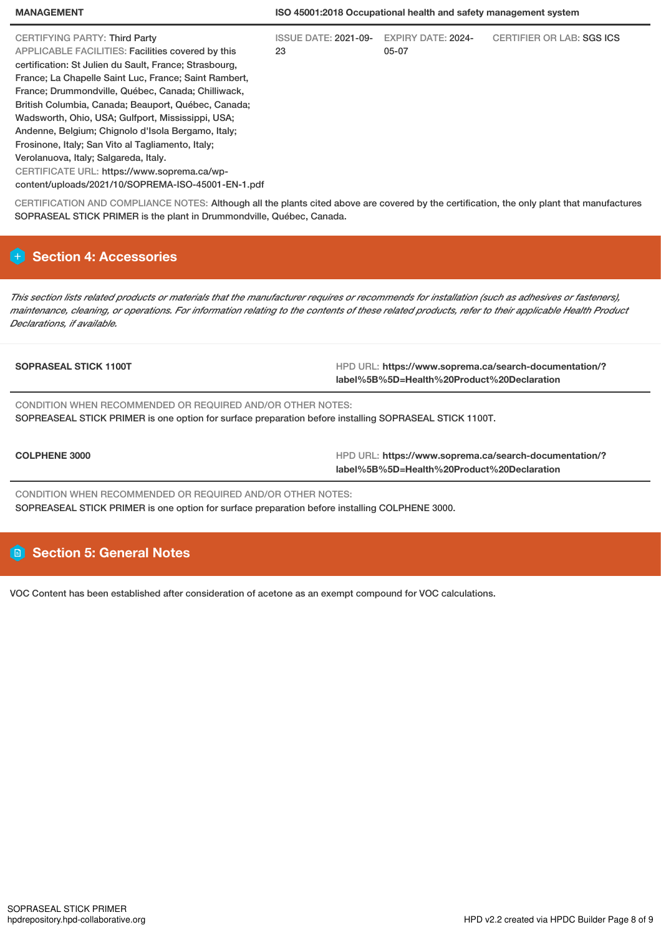#### **MANAGEMENT ISO 45001:2018 Occupational health and safety management system**

| CERTIFYING PARTY: Third Party                          | <b>ISSUE DATE: 2021-09-</b> | <b>EXPIRY DATE: 2024-</b> | <b>CERTIFIER OR LAB: SGS ICS</b> |
|--------------------------------------------------------|-----------------------------|---------------------------|----------------------------------|
| APPLICABLE FACILITIES: Facilities covered by this      | 23                          | 05-07                     |                                  |
| certification: St Julien du Sault, France; Strasbourg, |                             |                           |                                  |
| France; La Chapelle Saint Luc, France; Saint Rambert,  |                             |                           |                                  |
| France; Drummondville, Québec, Canada; Chilliwack,     |                             |                           |                                  |
| British Columbia, Canada; Beauport, Québec, Canada;    |                             |                           |                                  |
| Wadsworth, Ohio, USA; Gulfport, Mississippi, USA;      |                             |                           |                                  |
| Andenne, Belgium; Chignolo d'Isola Bergamo, Italy;     |                             |                           |                                  |
| Frosinone, Italy; San Vito al Tagliamento, Italy;      |                             |                           |                                  |
| Verolanuova, Italy; Salgareda, Italy.                  |                             |                           |                                  |
| CERTIFICATE URL: https://www.soprema.ca/wp-            |                             |                           |                                  |
| content/uploads/2021/10/SOPREMA-ISO-45001-EN-1.pdf     |                             |                           |                                  |
|                                                        |                             |                           |                                  |

CERTIFICATION AND COMPLIANCE NOTES: Although all the plants cited above are covered by the certification, the only plant that manufactures SOPRASEAL STICK PRIMER is the plant in Drummondville, Québec, Canada.

# **Section 4: Accessories**

This section lists related products or materials that the manufacturer requires or recommends for installation (such as adhesives or fasteners), maintenance, cleaning, or operations. For information relating to the contents of these related products, refer to their applicable Health Product *Declarations, if available.*

**SOPRASEAL STICK 1100T HPD URL: https://www.soprema.ca/search-documentation/? label%5B%5D=Health%20Product%20Declaration**

CONDITION WHEN RECOMMENDED OR REQUIRED AND/OR OTHER NOTES: SOPREASEAL STICK PRIMER is one option for surface preparation before installing SOPRASEAL STICK 1100T.

**COLPHENE 3000** HPD URL: **https://www.soprema.ca/search-documentation/? label%5B%5D=Health%20Product%20Declaration**

CONDITION WHEN RECOMMENDED OR REQUIRED AND/OR OTHER NOTES: SOPREASEAL STICK PRIMER is one option for surface preparation before installing COLPHENE 3000.

# **Section 5: General Notes**

VOC Content has been established after consideration of acetone as an exempt compound for VOC calculations.